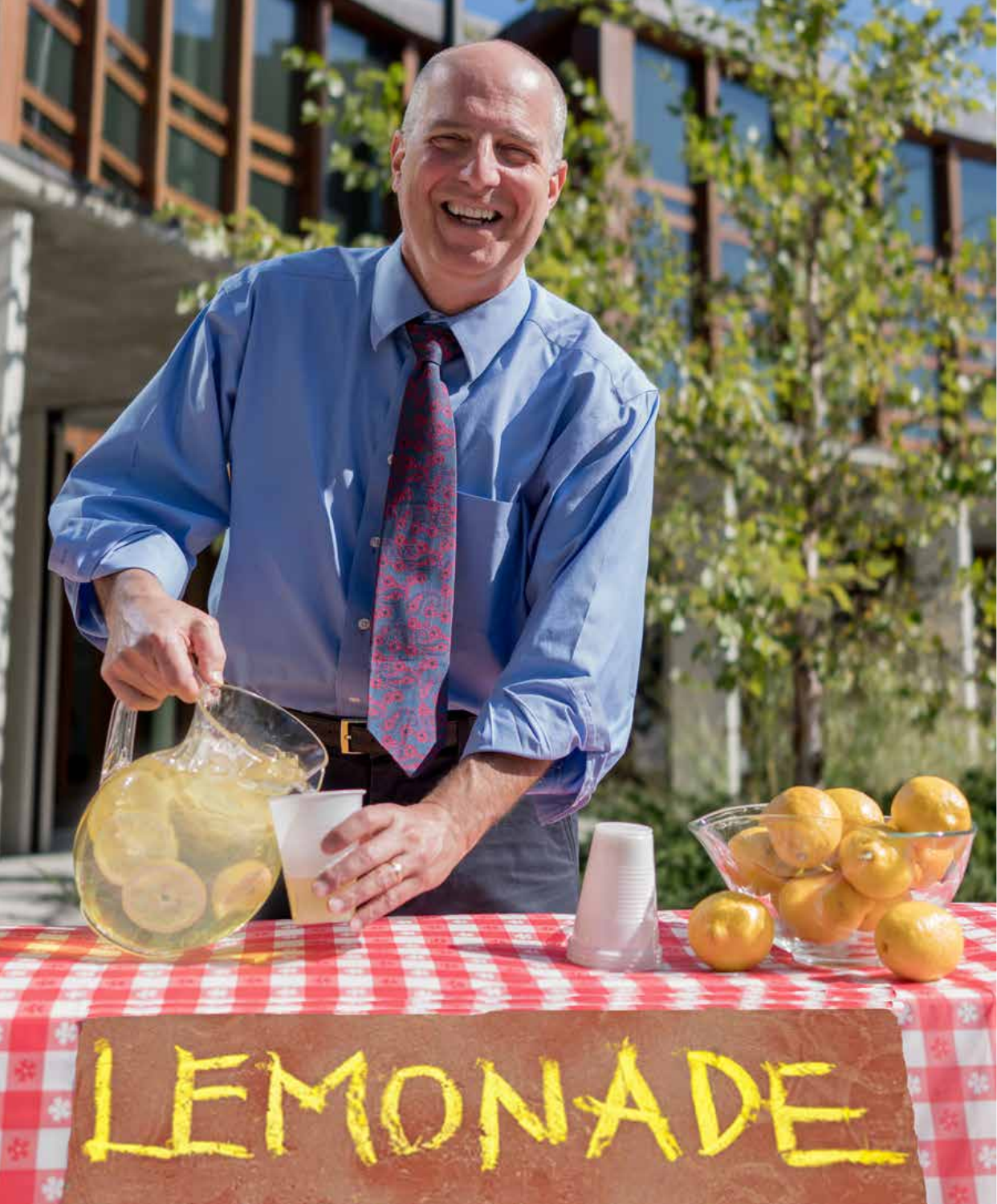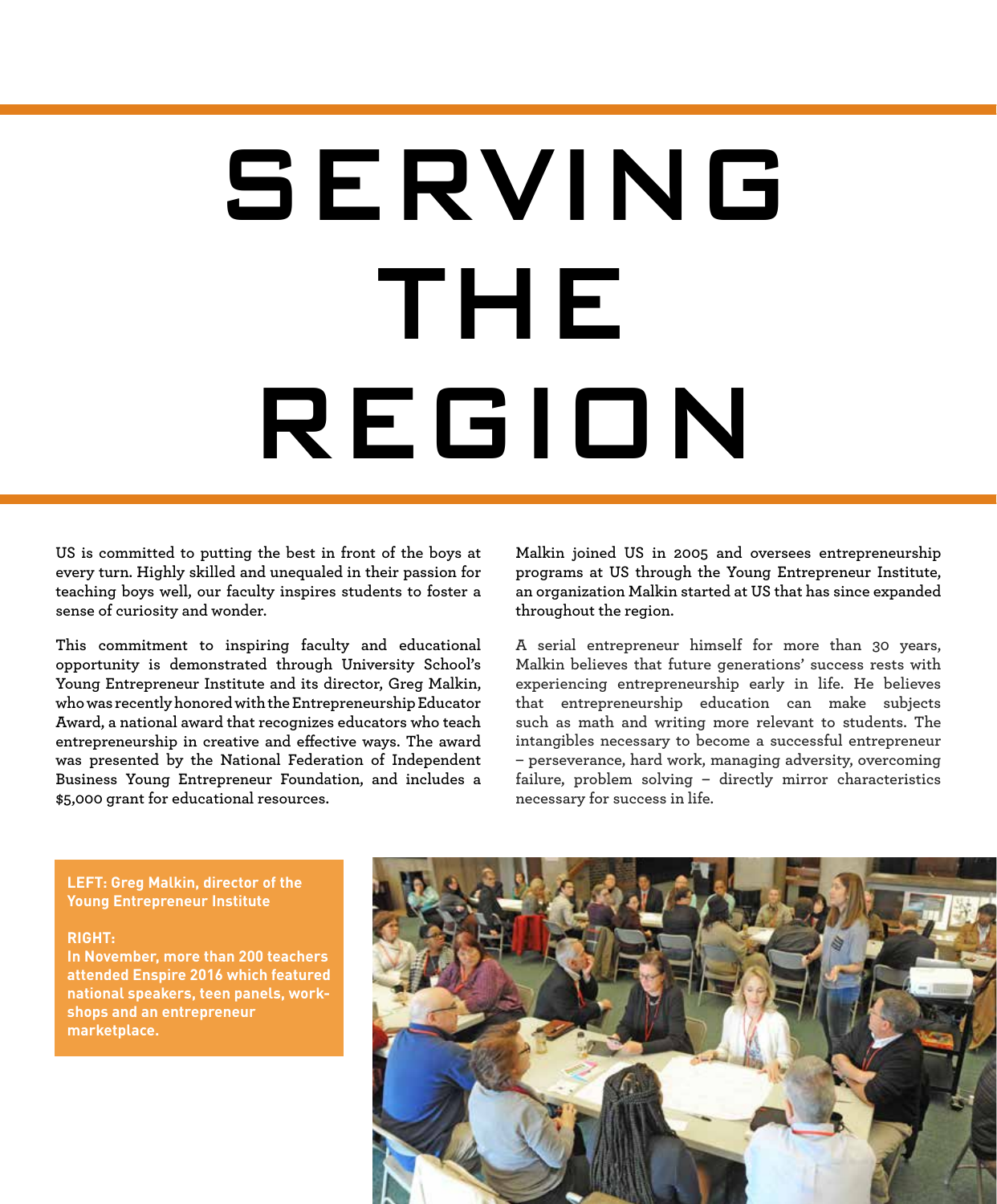# SERVING THE REGION

**US is committed to putting the best in front of the boys at every turn. Highly skilled and unequaled in their passion for teaching boys well, our faculty inspires students to foster a sense of curiosity and wonder.** 

**This commitment to inspiring faculty and educational opportunity is demonstrated through University School's Young Entrepreneur Institute and its director, Greg Malkin, who was recently honored with the Entrepreneurship Educator Award, a national award that recognizes educators who teach entrepreneurship in creative and effective ways. The award was presented by the National Federation of Independent Business Young Entrepreneur Foundation, and includes a \$5,000 grant for educational resources.** 

**Malkin joined US in 2005 and oversees entrepreneurship programs at US through the Young Entrepreneur Institute, an organization Malkin started at US that has since expanded throughout the region.** 

**A serial entrepreneur himself for more than 30 years, Malkin believes that future generations' success rests with experiencing entrepreneurship early in life. He believes that entrepreneurship education can make subjects such as math and writing more relevant to students. The intangibles necessary to become a successful entrepreneur – perseverance, hard work, managing adversity, overcoming failure, problem solving – directly mirror characteristics necessary for success in life.**

#### **LEFT: Greg Malkin, director of the Young Entrepreneur Institute**

#### **RIGHT:**

**In November, more than 200 teachers attended Enspire 2016 which featured national speakers, teen panels, workshops and an entrepreneur marketplace.** 

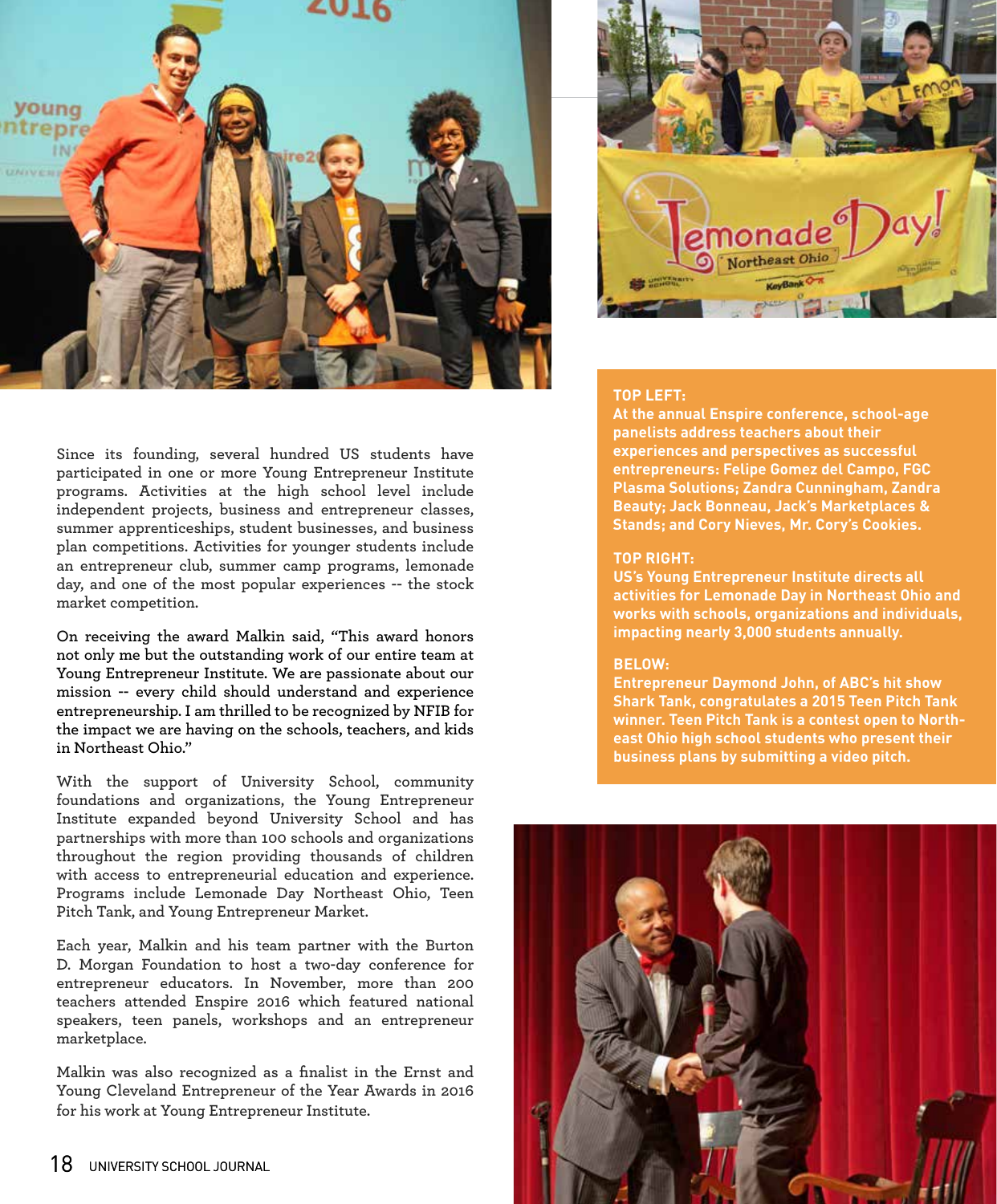

**Since its founding, several hundred US students have participated in one or more Young Entrepreneur Institute programs. Activities at the high school level include independent projects, business and entrepreneur classes, summer apprenticeships, student businesses, and business plan competitions. Activities for younger students include an entrepreneur club, summer camp programs, lemonade day, and one of the most popular experiences -- the stock market competition.** 

**On receiving the award Malkin said, "This award honors not only me but the outstanding work of our entire team at Young Entrepreneur Institute. We are passionate about our mission -- every child should understand and experience entrepreneurship. I am thrilled to be recognized by NFIB for the impact we are having on the schools, teachers, and kids in Northeast Ohio."** 

**With the support of University School, community foundations and organizations, the Young Entrepreneur Institute expanded beyond University School and has partnerships with more than 100 schools and organizations throughout the region providing thousands of children with access to entrepreneurial education and experience. Programs include Lemonade Day Northeast Ohio, Teen Pitch Tank, and Young Entrepreneur Market.** 

**Each year, Malkin and his team partner with the Burton D. Morgan Foundation to host a two-day conference for entrepreneur educators. In November, more than 200 teachers attended Enspire 2016 which featured national speakers, teen panels, workshops and an entrepreneur marketplace.** 

**Malkin was also recognized as a finalist in the Ernst and Young Cleveland Entrepreneur of the Year Awards in 2016 for his work at Young Entrepreneur Institute.**



# **TOP LEFT:**

**At the annual Enspire conference, school-age panelists address teachers about their experiences and perspectives as successful entrepreneurs: Felipe Gomez del Campo, FGC Plasma Solutions; Zandra Cunningham, Zandra Beauty; Jack Bonneau, Jack's Marketplaces & Stands; and Cory Nieves, Mr. Cory's Cookies.**

## **TOP RIGHT:**

**US's Young Entrepreneur Institute directs all activities for Lemonade Day in Northeast Ohio and works with schools, organizations and individuals, impacting nearly 3,000 students annually.** 

## **BELOW:**

**Entrepreneur Daymond John, of ABC's hit show Shark Tank, congratulates a 2015 Teen Pitch Tank winner. Teen Pitch Tank is a contest open to Northeast Ohio high school students who present their business plans by submitting a video pitch.**